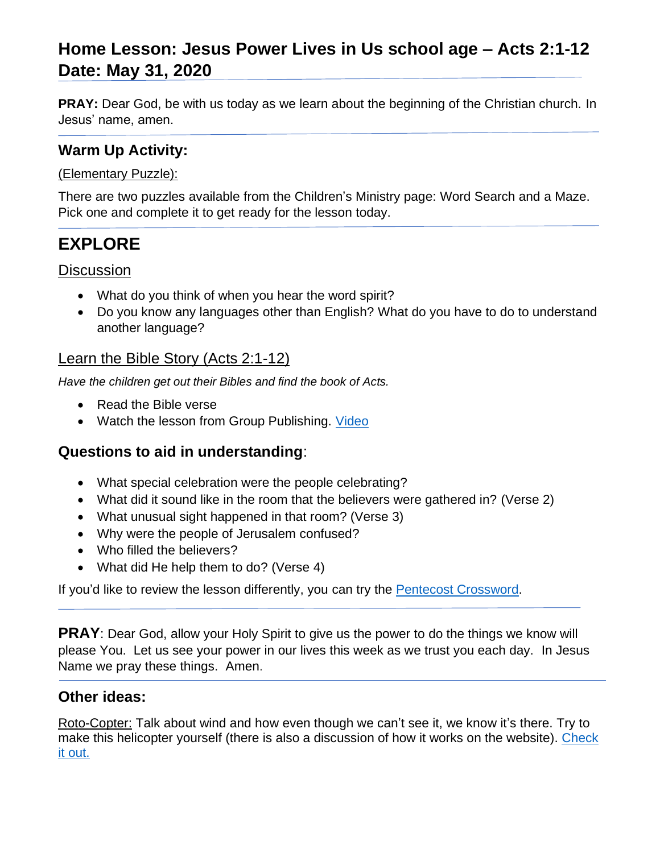# **Home Lesson: Jesus Power Lives in Us school age – Acts 2:1-12 Date: May 31, 2020**

**PRAY:** Dear God, be with us today as we learn about the beginning of the Christian church. In Jesus' name, amen.

## **Warm Up Activity:**

### (Elementary Puzzle):

There are two puzzles available from the Children's Ministry page: Word Search and a Maze. Pick one and complete it to get ready for the lesson today.

# **EXPLORE**

**Discussion** 

- What do you think of when you hear the word spirit?
- Do you know any languages other than English? What do you have to do to understand another language?

## Learn the Bible Story (Acts 2:1-12)

*Have the children get out their Bibles and find the book of Acts.*

- Read the Bible verse
- Watch the lesson from Group Publishing. [Video](https://www.youtube.com/watch?v=4DxrolI2ULo&feature=youtu.be)

## **Questions to aid in understanding**:

- What special celebration were the people celebrating?
- What did it sound like in the room that the believers were gathered in? (Verse 2)
- What unusual sight happened in that room? (Verse 3)
- Why were the people of Jerusalem confused?
- Who filled the believers?
- What did He help them to do? (Verse 4)

If you'd like to review the lesson differently, you can try the **Pentecost Crossword**.

**PRAY**: Dear God, allow your Holy Spirit to give us the power to do the things we know will please You. Let us see your power in our lives this week as we trust you each day. In Jesus Name we pray these things. Amen.

### **Other ideas:**

Roto-Copter: Talk about wind and how even though we can't see it, we know it's there. Try to make this helicopter yourself (there is also a discussion of how it works on the website). Check [it out.](https://www.exploratorium.edu/science_explorer/roto-copter.html)